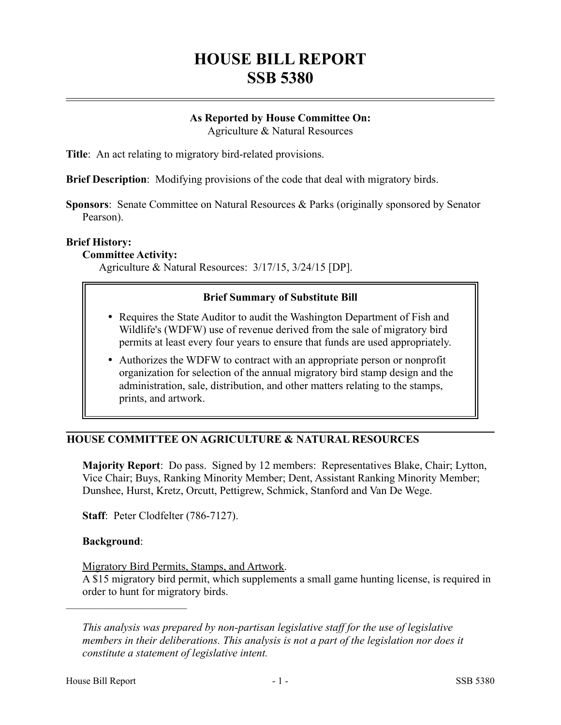# **HOUSE BILL REPORT SSB 5380**

## **As Reported by House Committee On:**

Agriculture & Natural Resources

**Title**: An act relating to migratory bird-related provisions.

**Brief Description**: Modifying provisions of the code that deal with migratory birds.

**Sponsors**: Senate Committee on Natural Resources & Parks (originally sponsored by Senator Pearson).

#### **Brief History:**

#### **Committee Activity:**

Agriculture & Natural Resources: 3/17/15, 3/24/15 [DP].

## **Brief Summary of Substitute Bill**

- Requires the State Auditor to audit the Washington Department of Fish and Wildlife's (WDFW) use of revenue derived from the sale of migratory bird permits at least every four years to ensure that funds are used appropriately.
- Authorizes the WDFW to contract with an appropriate person or nonprofit organization for selection of the annual migratory bird stamp design and the administration, sale, distribution, and other matters relating to the stamps, prints, and artwork.

## **HOUSE COMMITTEE ON AGRICULTURE & NATURAL RESOURCES**

**Majority Report**: Do pass. Signed by 12 members: Representatives Blake, Chair; Lytton, Vice Chair; Buys, Ranking Minority Member; Dent, Assistant Ranking Minority Member; Dunshee, Hurst, Kretz, Orcutt, Pettigrew, Schmick, Stanford and Van De Wege.

**Staff**: Peter Clodfelter (786-7127).

### **Background**:

––––––––––––––––––––––

### Migratory Bird Permits, Stamps, and Artwork.

A \$15 migratory bird permit, which supplements a small game hunting license, is required in order to hunt for migratory birds.

*This analysis was prepared by non-partisan legislative staff for the use of legislative members in their deliberations. This analysis is not a part of the legislation nor does it constitute a statement of legislative intent.*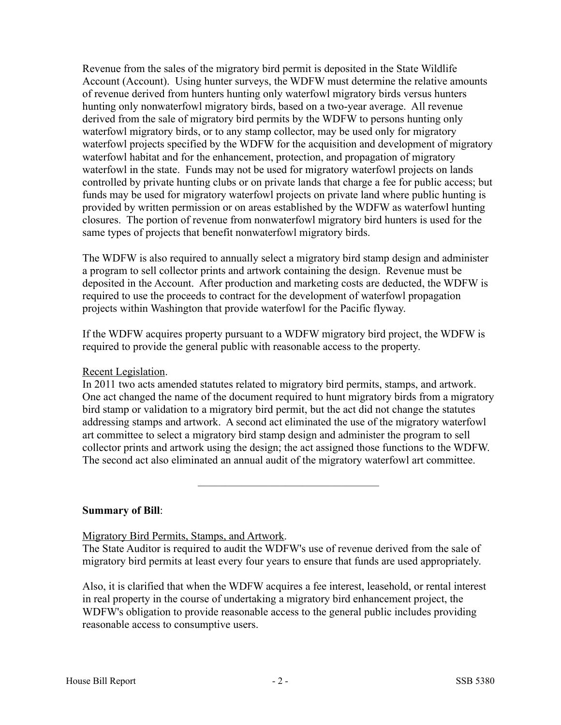Revenue from the sales of the migratory bird permit is deposited in the State Wildlife Account (Account). Using hunter surveys, the WDFW must determine the relative amounts of revenue derived from hunters hunting only waterfowl migratory birds versus hunters hunting only nonwaterfowl migratory birds, based on a two-year average. All revenue derived from the sale of migratory bird permits by the WDFW to persons hunting only waterfowl migratory birds, or to any stamp collector, may be used only for migratory waterfowl projects specified by the WDFW for the acquisition and development of migratory waterfowl habitat and for the enhancement, protection, and propagation of migratory waterfowl in the state. Funds may not be used for migratory waterfowl projects on lands controlled by private hunting clubs or on private lands that charge a fee for public access; but funds may be used for migratory waterfowl projects on private land where public hunting is provided by written permission or on areas established by the WDFW as waterfowl hunting closures. The portion of revenue from nonwaterfowl migratory bird hunters is used for the same types of projects that benefit nonwaterfowl migratory birds.

The WDFW is also required to annually select a migratory bird stamp design and administer a program to sell collector prints and artwork containing the design. Revenue must be deposited in the Account. After production and marketing costs are deducted, the WDFW is required to use the proceeds to contract for the development of waterfowl propagation projects within Washington that provide waterfowl for the Pacific flyway.

If the WDFW acquires property pursuant to a WDFW migratory bird project, the WDFW is required to provide the general public with reasonable access to the property.

#### Recent Legislation.

In 2011 two acts amended statutes related to migratory bird permits, stamps, and artwork. One act changed the name of the document required to hunt migratory birds from a migratory bird stamp or validation to a migratory bird permit, but the act did not change the statutes addressing stamps and artwork. A second act eliminated the use of the migratory waterfowl art committee to select a migratory bird stamp design and administer the program to sell collector prints and artwork using the design; the act assigned those functions to the WDFW. The second act also eliminated an annual audit of the migratory waterfowl art committee.

–––––––––––––––––––––––––––––––––

#### **Summary of Bill**:

Migratory Bird Permits, Stamps, and Artwork.

The State Auditor is required to audit the WDFW's use of revenue derived from the sale of migratory bird permits at least every four years to ensure that funds are used appropriately.

Also, it is clarified that when the WDFW acquires a fee interest, leasehold, or rental interest in real property in the course of undertaking a migratory bird enhancement project, the WDFW's obligation to provide reasonable access to the general public includes providing reasonable access to consumptive users.